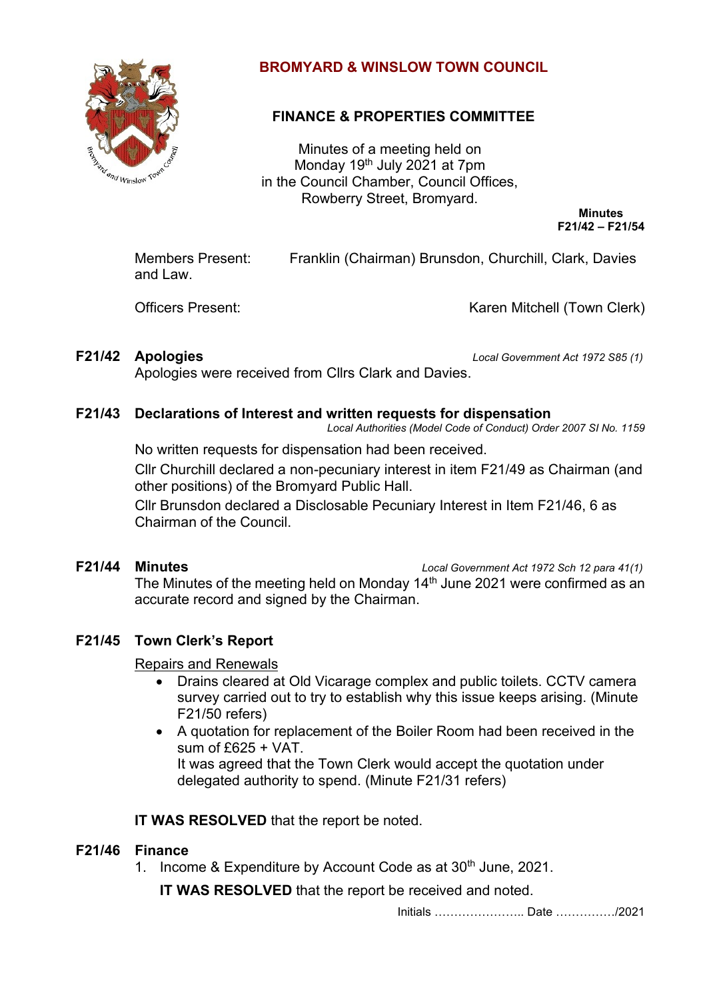

# **BROMYARD & WINSLOW TOWN COUNCIL**

# **FINANCE & PROPERTIES COMMITTEE**

Minutes of a meeting held on Monday 19<sup>th</sup> July 2021 at 7pm in the Council Chamber, Council Offices, Rowberry Street, Bromyard.

> **Minutes F21/42 – F21/54**

Members Present: Franklin (Chairman) Brunsdon, Churchill, Clark, Davies and Law.

Officers Present: Communication Controllering Mitchell (Town Clerk)

**F21/42 Apologies** *Local Government Act 1972 S85 (1)*

Apologies were received from Cllrs Clark and Davies.

## **F21/43 Declarations of Interest and written requests for dispensation**

*Local Authorities (Model Code of Conduct) Order 2007 SI No. 1159*

No written requests for dispensation had been received.

Cllr Churchill declared a non-pecuniary interest in item F21/49 as Chairman (and other positions) of the Bromyard Public Hall.

Cllr Brunsdon declared a Disclosable Pecuniary Interest in Item F21/46, 6 as Chairman of the Council.

**F21/44 Minutes** *Local Government Act 1972 Sch 12 para 41(1)*

The Minutes of the meeting held on Monday 14<sup>th</sup> June 2021 were confirmed as an accurate record and signed by the Chairman.

## **F21/45 Town Clerk's Report**

Repairs and Renewals

- Drains cleared at Old Vicarage complex and public toilets. CCTV camera survey carried out to try to establish why this issue keeps arising. (Minute F21/50 refers)
- A quotation for replacement of the Boiler Room had been received in the sum of  $f625 + VAT$

It was agreed that the Town Clerk would accept the quotation under delegated authority to spend. (Minute F21/31 refers)

**IT WAS RESOLVED** that the report be noted.

## **F21/46 Finance**

1. Income & Expenditure by Account Code as at 30<sup>th</sup> June, 2021.

**IT WAS RESOLVED** that the report be received and noted.

Initials ………………….. Date ……………/2021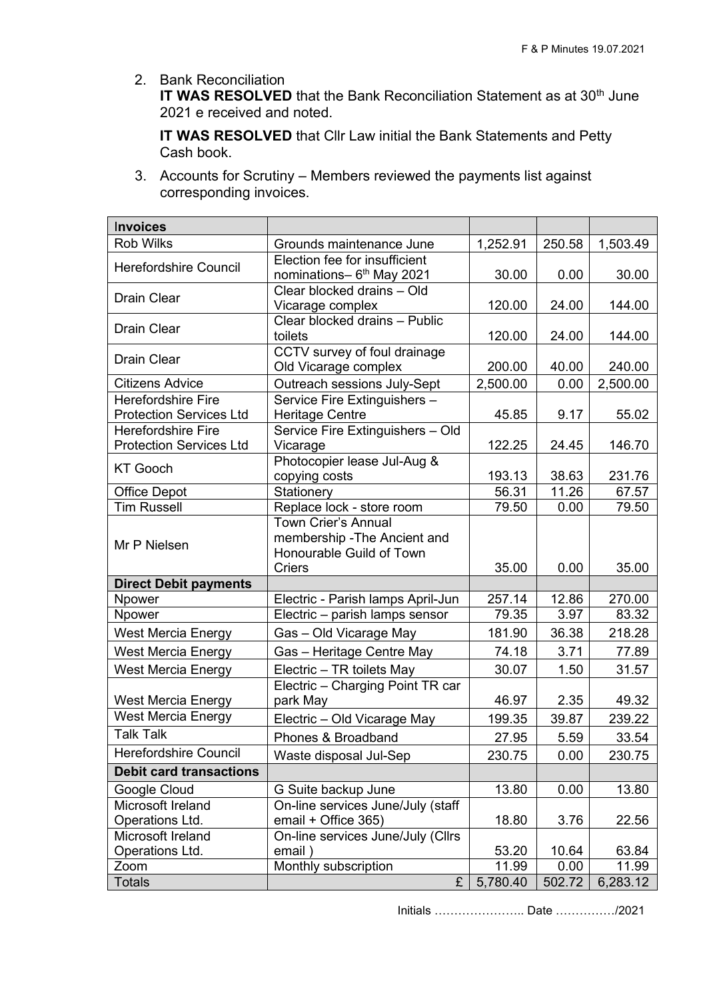2. Bank Reconciliation

**IT WAS RESOLVED** that the Bank Reconciliation Statement as at 30<sup>th</sup> June 2021 e received and noted.

**IT WAS RESOLVED** that Cllr Law initial the Bank Statements and Petty Cash book.

3. Accounts for Scrutiny – Members reviewed the payments list against corresponding invoices.

| <b>Invoices</b>                |                                              |          |        |          |
|--------------------------------|----------------------------------------------|----------|--------|----------|
| <b>Rob Wilks</b>               | Grounds maintenance June                     | 1,252.91 | 250.58 | 1,503.49 |
| <b>Herefordshire Council</b>   | Election fee for insufficient                |          |        |          |
|                                | nominations- 6 <sup>th</sup> May 2021        | 30.00    | 0.00   | 30.00    |
| <b>Drain Clear</b>             | Clear blocked drains - Old                   |          |        |          |
|                                | Vicarage complex                             | 120.00   | 24.00  | 144.00   |
| <b>Drain Clear</b>             | Clear blocked drains - Public                |          |        |          |
|                                | toilets                                      | 120.00   | 24.00  | 144.00   |
| <b>Drain Clear</b>             | CCTV survey of foul drainage                 |          |        |          |
|                                | Old Vicarage complex                         | 200.00   | 40.00  | 240.00   |
| <b>Citizens Advice</b>         | Outreach sessions July-Sept                  | 2,500.00 | 0.00   | 2,500.00 |
| <b>Herefordshire Fire</b>      | Service Fire Extinguishers -                 |          |        |          |
| <b>Protection Services Ltd</b> | <b>Heritage Centre</b>                       | 45.85    | 9.17   | 55.02    |
| Herefordshire Fire             | Service Fire Extinguishers - Old             |          |        |          |
| <b>Protection Services Ltd</b> | Vicarage                                     | 122.25   | 24.45  | 146.70   |
| <b>KT Gooch</b>                | Photocopier lease Jul-Aug &<br>copying costs | 193.13   | 38.63  | 231.76   |
| <b>Office Depot</b>            | Stationery                                   | 56.31    | 11.26  | 67.57    |
| <b>Tim Russell</b>             | Replace lock - store room                    | 79.50    | 0.00   | 79.50    |
|                                | <b>Town Crier's Annual</b>                   |          |        |          |
|                                | membership - The Ancient and                 |          |        |          |
| Mr P Nielsen                   | Honourable Guild of Town                     |          |        |          |
|                                | <b>Criers</b>                                | 35.00    | 0.00   | 35.00    |
| <b>Direct Debit payments</b>   |                                              |          |        |          |
| Npower                         | Electric - Parish lamps April-Jun            | 257.14   | 12.86  | 270.00   |
| Npower                         | Electric – parish lamps sensor               | 79.35    | 3.97   | 83.32    |
| <b>West Mercia Energy</b>      | Gas - Old Vicarage May                       | 181.90   | 36.38  | 218.28   |
| <b>West Mercia Energy</b>      | Gas - Heritage Centre May                    | 74.18    | 3.71   | 77.89    |
| <b>West Mercia Energy</b>      | Electric - TR toilets May                    | 30.07    | 1.50   | 31.57    |
|                                | Electric - Charging Point TR car             |          |        |          |
| <b>West Mercia Energy</b>      | park May                                     | 46.97    | 2.35   | 49.32    |
| <b>West Mercia Energy</b>      | Electric - Old Vicarage May                  | 199.35   | 39.87  | 239.22   |
| <b>Talk Talk</b>               | Phones & Broadband                           | 27.95    | 5.59   | 33.54    |
| <b>Herefordshire Council</b>   | Waste disposal Jul-Sep                       | 230.75   | 0.00   | 230.75   |
| <b>Debit card transactions</b> |                                              |          |        |          |
| Google Cloud                   | G Suite backup June                          | 13.80    | 0.00   | 13.80    |
| Microsoft Ireland              | On-line services June/July (staff            |          |        |          |
| Operations Ltd.                | email + Office 365)                          | 18.80    | 3.76   | 22.56    |
| Microsoft Ireland              | On-line services June/July (Cllrs            |          |        |          |
| Operations Ltd.                | email)                                       | 53.20    | 10.64  | 63.84    |
| Zoom                           | Monthly subscription                         | 11.99    | 0.00   | 11.99    |
| <b>Totals</b>                  | £                                            | 5,780.40 | 502.72 | 6,283.12 |

Initials ………………….. Date ……………/2021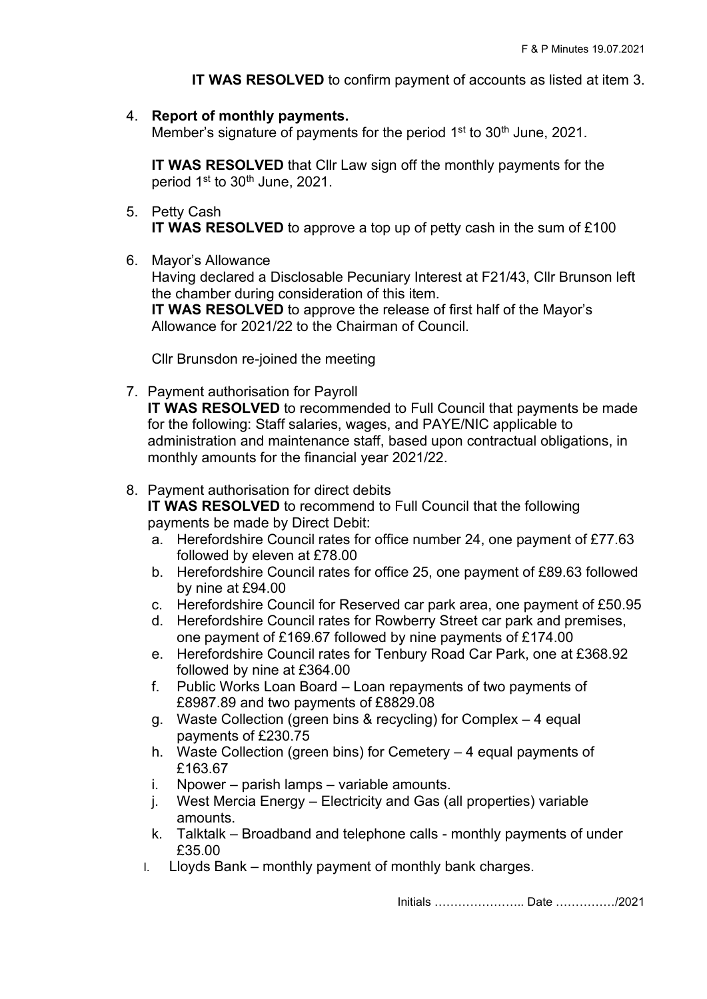**IT WAS RESOLVED** to confirm payment of accounts as listed at item 3.

4. **Report of monthly payments.** 

Member's signature of payments for the period 1<sup>st</sup> to 30<sup>th</sup> June, 2021.

**IT WAS RESOLVED** that Cllr Law sign off the monthly payments for the period 1st to 30<sup>th</sup> June, 2021.

- 5. Petty Cash **IT WAS RESOLVED** to approve a top up of petty cash in the sum of £100
- 6. Mayor's Allowance

Having declared a Disclosable Pecuniary Interest at F21/43, Cllr Brunson left the chamber during consideration of this item. **IT WAS RESOLVED** to approve the release of first half of the Mayor's

Allowance for 2021/22 to the Chairman of Council.

Cllr Brunsdon re-joined the meeting

7. Payment authorisation for Payroll **IT WAS RESOLVED** to recommended to Full Council that payments be made for the following: Staff salaries, wages, and PAYE/NIC applicable to administration and maintenance staff, based upon contractual obligations, in monthly amounts for the financial year 2021/22.

#### 8. Payment authorisation for direct debits

**IT WAS RESOLVED** to recommend to Full Council that the following payments be made by Direct Debit:

- a. Herefordshire Council rates for office number 24, one payment of £77.63 followed by eleven at £78.00
- b. Herefordshire Council rates for office 25, one payment of £89.63 followed by nine at £94.00
- c. Herefordshire Council for Reserved car park area, one payment of £50.95
- d. Herefordshire Council rates for Rowberry Street car park and premises, one payment of £169.67 followed by nine payments of £174.00
- e. Herefordshire Council rates for Tenbury Road Car Park, one at £368.92 followed by nine at £364.00
- f. Public Works Loan Board Loan repayments of two payments of £8987.89 and two payments of £8829.08
- g. Waste Collection (green bins & recycling) for Complex 4 equal payments of £230.75
- h. Waste Collection (green bins) for Cemetery 4 equal payments of £163.67
- i. Npower parish lamps variable amounts.
- j. West Mercia Energy Electricity and Gas (all properties) variable amounts.
- k. Talktalk Broadband and telephone calls monthly payments of under £35.00
- l. Lloyds Bank monthly payment of monthly bank charges.

Initials ………………….. Date ……………/2021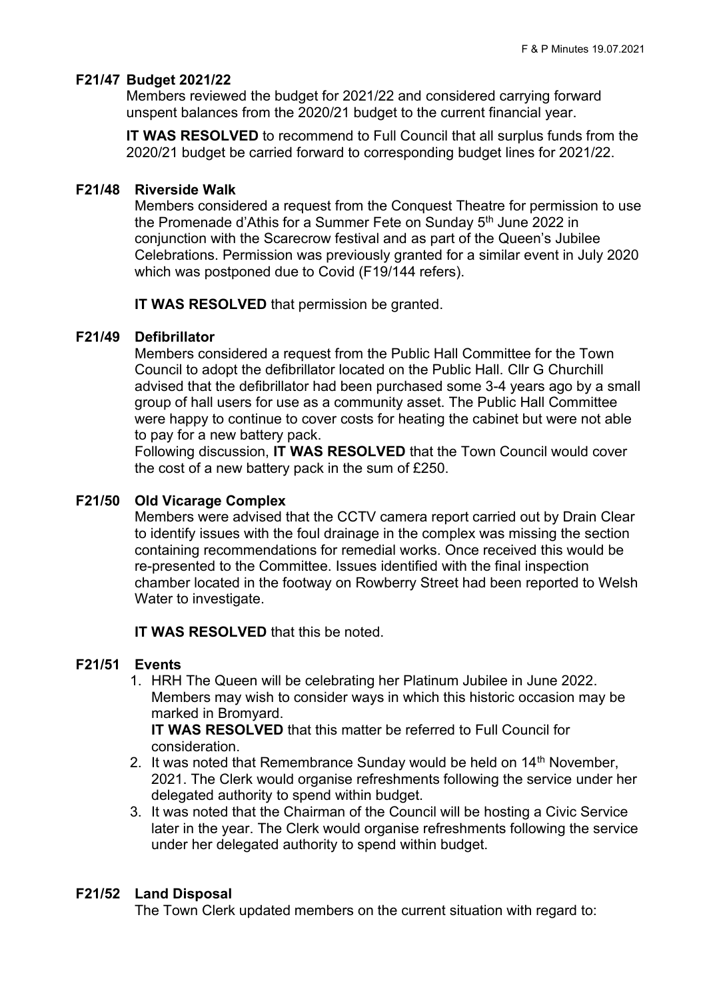## **F21/47 Budget 2021/22**

Members reviewed the budget for 2021/22 and considered carrying forward unspent balances from the 2020/21 budget to the current financial year.

**IT WAS RESOLVED** to recommend to Full Council that all surplus funds from the 2020/21 budget be carried forward to corresponding budget lines for 2021/22.

#### **F21/48 Riverside Walk**

Members considered a request from the Conquest Theatre for permission to use the Promenade d'Athis for a Summer Fete on Sunday  $5<sup>th</sup>$  June 2022 in conjunction with the Scarecrow festival and as part of the Queen's Jubilee Celebrations. Permission was previously granted for a similar event in July 2020 which was postponed due to Covid (F19/144 refers).

**IT WAS RESOLVED** that permission be granted.

### **F21/49 Defibrillator**

Members considered a request from the Public Hall Committee for the Town Council to adopt the defibrillator located on the Public Hall. Cllr G Churchill advised that the defibrillator had been purchased some 3-4 years ago by a small group of hall users for use as a community asset. The Public Hall Committee were happy to continue to cover costs for heating the cabinet but were not able to pay for a new battery pack.

Following discussion, **IT WAS RESOLVED** that the Town Council would cover the cost of a new battery pack in the sum of £250.

#### **F21/50 Old Vicarage Complex**

Members were advised that the CCTV camera report carried out by Drain Clear to identify issues with the foul drainage in the complex was missing the section containing recommendations for remedial works. Once received this would be re-presented to the Committee. Issues identified with the final inspection chamber located in the footway on Rowberry Street had been reported to Welsh Water to investigate.

**IT WAS RESOLVED** that this be noted.

### **F21/51 Events**

1. HRH The Queen will be celebrating her Platinum Jubilee in June 2022. Members may wish to consider ways in which this historic occasion may be marked in Bromyard.

**IT WAS RESOLVED** that this matter be referred to Full Council for consideration.

- 2. It was noted that Remembrance Sunday would be held on 14<sup>th</sup> November. 2021. The Clerk would organise refreshments following the service under her delegated authority to spend within budget.
- 3. It was noted that the Chairman of the Council will be hosting a Civic Service later in the year. The Clerk would organise refreshments following the service under her delegated authority to spend within budget.

### **F21/52 Land Disposal**

The Town Clerk updated members on the current situation with regard to: